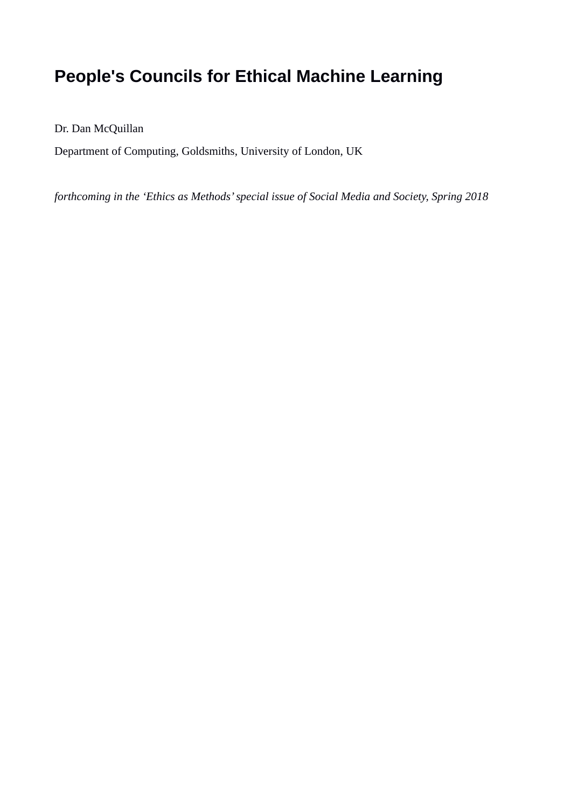# **People's Councils for Ethical Machine Learning**

Dr. Dan McQuillan

Department of Computing, Goldsmiths, University of London, UK

*forthcoming in the 'Ethics as Methods' special issue of Social Media and Society, Spring 2018*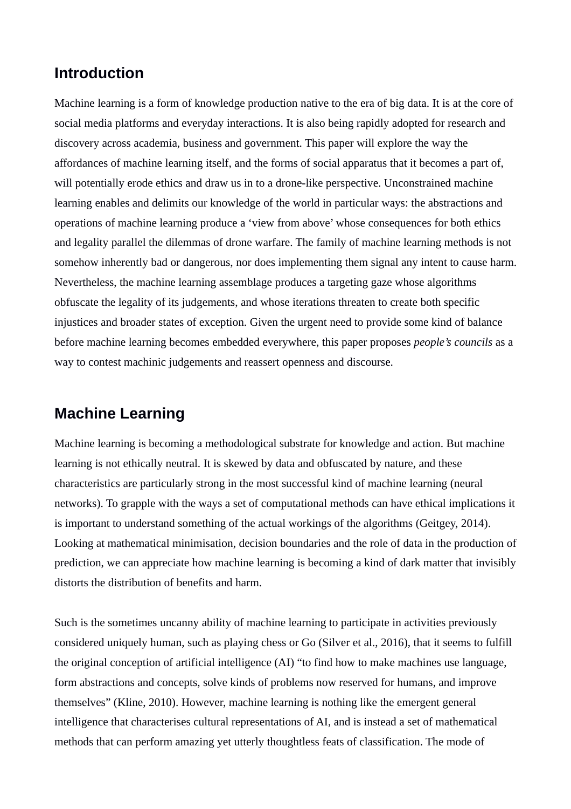# **Introduction**

Machine learning is a form of knowledge production native to the era of big data. It is at the core of social media platforms and everyday interactions. It is also being rapidly adopted for research and discovery across academia, business and government. This paper will explore the way the affordances of machine learning itself, and the forms of social apparatus that it becomes a part of, will potentially erode ethics and draw us in to a drone-like perspective. Unconstrained machine learning enables and delimits our knowledge of the world in particular ways: the abstractions and operations of machine learning produce a 'view from above' whose consequences for both ethics and legality parallel the dilemmas of drone warfare. The family of machine learning methods is not somehow inherently bad or dangerous, nor does implementing them signal any intent to cause harm. Nevertheless, the machine learning assemblage produces a targeting gaze whose algorithms obfuscate the legality of its judgements, and whose iterations threaten to create both specific injustices and broader states of exception. Given the urgent need to provide some kind of balance before machine learning becomes embedded everywhere, this paper proposes *people's councils* as a way to contest machinic judgements and reassert openness and discourse.

## **Machine Learning**

Machine learning is becoming a methodological substrate for knowledge and action. But machine learning is not ethically neutral. It is skewed by data and obfuscated by nature, and these characteristics are particularly strong in the most successful kind of machine learning (neural networks). To grapple with the ways a set of computational methods can have ethical implications it is important to understand something of the actual workings of the algorithms (Geitgey, 2014). Looking at mathematical minimisation, decision boundaries and the role of data in the production of prediction, we can appreciate how machine learning is becoming a kind of dark matter that invisibly distorts the distribution of benefits and harm.

Such is the sometimes uncanny ability of machine learning to participate in activities previously considered uniquely human, such as playing chess or Go (Silver et al., 2016), that it seems to fulfill the original conception of artificial intelligence (AI) "to find how to make machines use language, form abstractions and concepts, solve kinds of problems now reserved for humans, and improve themselves" (Kline, 2010). However, machine learning is nothing like the emergent general intelligence that characterises cultural representations of AI, and is instead a set of mathematical methods that can perform amazing yet utterly thoughtless feats of classification. The mode of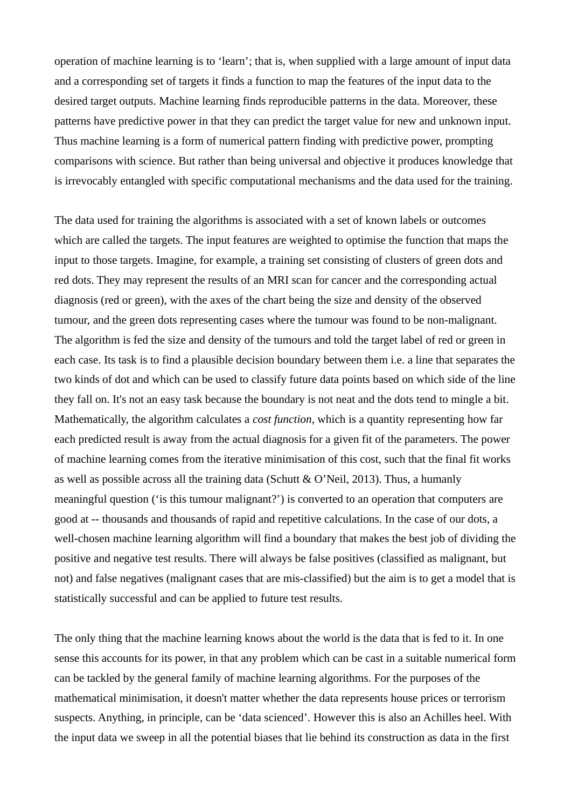operation of machine learning is to 'learn'; that is, when supplied with a large amount of input data and a corresponding set of targets it finds a function to map the features of the input data to the desired target outputs. Machine learning finds reproducible patterns in the data. Moreover, these patterns have predictive power in that they can predict the target value for new and unknown input. Thus machine learning is a form of numerical pattern finding with predictive power, prompting comparisons with science. But rather than being universal and objective it produces knowledge that is irrevocably entangled with specific computational mechanisms and the data used for the training.

The data used for training the algorithms is associated with a set of known labels or outcomes which are called the targets. The input features are weighted to optimise the function that maps the input to those targets. Imagine, for example, a training set consisting of clusters of green dots and red dots. They may represent the results of an MRI scan for cancer and the corresponding actual diagnosis (red or green), with the axes of the chart being the size and density of the observed tumour, and the green dots representing cases where the tumour was found to be non-malignant. The algorithm is fed the size and density of the tumours and told the target label of red or green in each case. Its task is to find a plausible decision boundary between them i.e. a line that separates the two kinds of dot and which can be used to classify future data points based on which side of the line they fall on. It's not an easy task because the boundary is not neat and the dots tend to mingle a bit. Mathematically, the algorithm calculates a *cost function*, which is a quantity representing how far each predicted result is away from the actual diagnosis for a given fit of the parameters. The power of machine learning comes from the iterative minimisation of this cost, such that the final fit works as well as possible across all the training data (Schutt & O'Neil, 2013). Thus, a humanly meaningful question ('is this tumour malignant?') is converted to an operation that computers are good at -- thousands and thousands of rapid and repetitive calculations. In the case of our dots, a well-chosen machine learning algorithm will find a boundary that makes the best job of dividing the positive and negative test results. There will always be false positives (classified as malignant, but not) and false negatives (malignant cases that are mis-classified) but the aim is to get a model that is statistically successful and can be applied to future test results.

The only thing that the machine learning knows about the world is the data that is fed to it. In one sense this accounts for its power, in that any problem which can be cast in a suitable numerical form can be tackled by the general family of machine learning algorithms. For the purposes of the mathematical minimisation, it doesn't matter whether the data represents house prices or terrorism suspects. Anything, in principle, can be 'data scienced'. However this is also an Achilles heel. With the input data we sweep in all the potential biases that lie behind its construction as data in the first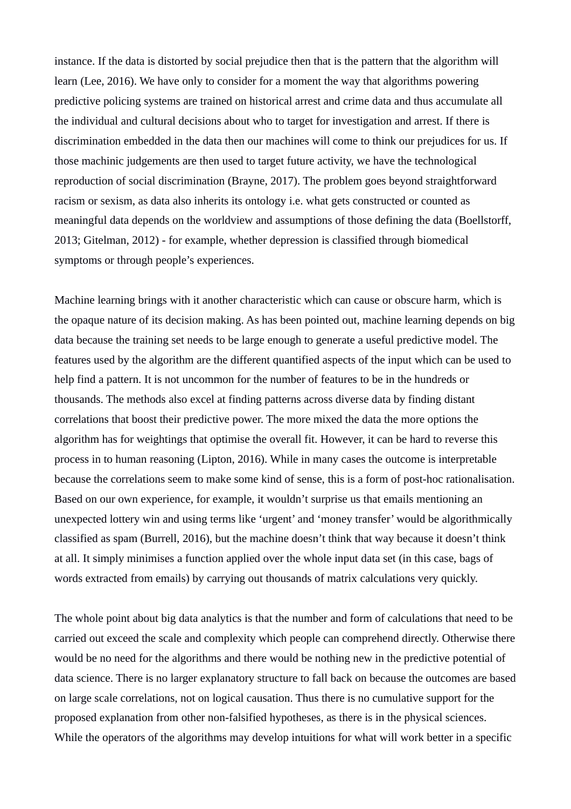instance. If the data is distorted by social prejudice then that is the pattern that the algorithm will learn (Lee, 2016). We have only to consider for a moment the way that algorithms powering predictive policing systems are trained on historical arrest and crime data and thus accumulate all the individual and cultural decisions about who to target for investigation and arrest. If there is discrimination embedded in the data then our machines will come to think our prejudices for us. If those machinic judgements are then used to target future activity, we have the technological reproduction of social discrimination (Brayne, 2017). The problem goes beyond straightforward racism or sexism, as data also inherits its ontology i.e. what gets constructed or counted as meaningful data depends on the worldview and assumptions of those defining the data (Boellstorff, 2013; Gitelman, 2012) - for example, whether depression is classified through biomedical symptoms or through people's experiences.

Machine learning brings with it another characteristic which can cause or obscure harm, which is the opaque nature of its decision making. As has been pointed out, machine learning depends on big data because the training set needs to be large enough to generate a useful predictive model. The features used by the algorithm are the different quantified aspects of the input which can be used to help find a pattern. It is not uncommon for the number of features to be in the hundreds or thousands. The methods also excel at finding patterns across diverse data by finding distant correlations that boost their predictive power. The more mixed the data the more options the algorithm has for weightings that optimise the overall fit. However, it can be hard to reverse this process in to human reasoning (Lipton, 2016). While in many cases the outcome is interpretable because the correlations seem to make some kind of sense, this is a form of post-hoc rationalisation. Based on our own experience, for example, it wouldn't surprise us that emails mentioning an unexpected lottery win and using terms like 'urgent' and 'money transfer' would be algorithmically classified as spam (Burrell, 2016), but the machine doesn't think that way because it doesn't think at all. It simply minimises a function applied over the whole input data set (in this case, bags of words extracted from emails) by carrying out thousands of matrix calculations very quickly.

The whole point about big data analytics is that the number and form of calculations that need to be carried out exceed the scale and complexity which people can comprehend directly. Otherwise there would be no need for the algorithms and there would be nothing new in the predictive potential of data science. There is no larger explanatory structure to fall back on because the outcomes are based on large scale correlations, not on logical causation. Thus there is no cumulative support for the proposed explanation from other non-falsified hypotheses, as there is in the physical sciences. While the operators of the algorithms may develop intuitions for what will work better in a specific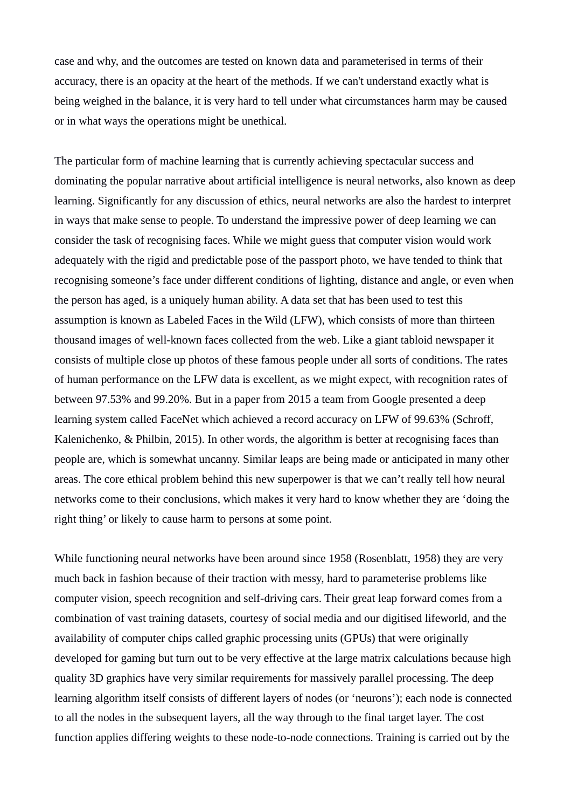case and why, and the outcomes are tested on known data and parameterised in terms of their accuracy, there is an opacity at the heart of the methods. If we can't understand exactly what is being weighed in the balance, it is very hard to tell under what circumstances harm may be caused or in what ways the operations might be unethical.

The particular form of machine learning that is currently achieving spectacular success and dominating the popular narrative about artificial intelligence is neural networks, also known as deep learning. Significantly for any discussion of ethics, neural networks are also the hardest to interpret in ways that make sense to people. To understand the impressive power of deep learning we can consider the task of recognising faces. While we might guess that computer vision would work adequately with the rigid and predictable pose of the passport photo, we have tended to think that recognising someone's face under different conditions of lighting, distance and angle, or even when the person has aged, is a uniquely human ability. A data set that has been used to test this assumption is known as Labeled Faces in the Wild (LFW), which consists of more than thirteen thousand images of well-known faces collected from the web. Like a giant tabloid newspaper it consists of multiple close up photos of these famous people under all sorts of conditions. The rates of human performance on the LFW data is excellent, as we might expect, with recognition rates of between 97.53% and 99.20%. But in a paper from 2015 a team from Google presented a deep learning system called FaceNet which achieved a record accuracy on LFW of 99.63% (Schroff, Kalenichenko, & Philbin, 2015). In other words, the algorithm is better at recognising faces than people are, which is somewhat uncanny. Similar leaps are being made or anticipated in many other areas. The core ethical problem behind this new superpower is that we can't really tell how neural networks come to their conclusions, which makes it very hard to know whether they are 'doing the right thing' or likely to cause harm to persons at some point.

While functioning neural networks have been around since 1958 (Rosenblatt, 1958) they are very much back in fashion because of their traction with messy, hard to parameterise problems like computer vision, speech recognition and self-driving cars. Their great leap forward comes from a combination of vast training datasets, courtesy of social media and our digitised lifeworld, and the availability of computer chips called graphic processing units (GPUs) that were originally developed for gaming but turn out to be very effective at the large matrix calculations because high quality 3D graphics have very similar requirements for massively parallel processing. The deep learning algorithm itself consists of different layers of nodes (or 'neurons'); each node is connected to all the nodes in the subsequent layers, all the way through to the final target layer. The cost function applies differing weights to these node-to-node connections. Training is carried out by the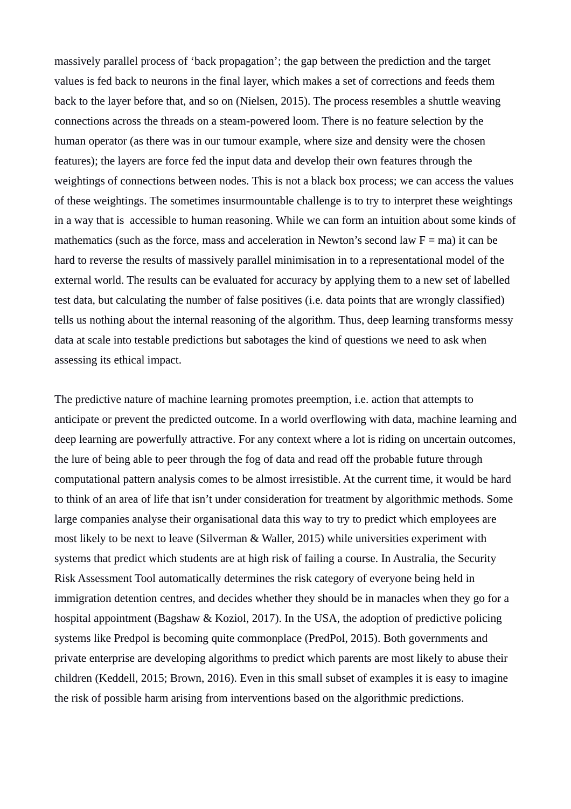massively parallel process of 'back propagation'; the gap between the prediction and the target values is fed back to neurons in the final layer, which makes a set of corrections and feeds them back to the layer before that, and so on (Nielsen, 2015). The process resembles a shuttle weaving connections across the threads on a steam-powered loom. There is no feature selection by the human operator (as there was in our tumour example, where size and density were the chosen features); the layers are force fed the input data and develop their own features through the weightings of connections between nodes. This is not a black box process; we can access the values of these weightings. The sometimes insurmountable challenge is to try to interpret these weightings in a way that is accessible to human reasoning. While we can form an intuition about some kinds of mathematics (such as the force, mass and acceleration in Newton's second law  $F = ma$ ) it can be hard to reverse the results of massively parallel minimisation in to a representational model of the external world. The results can be evaluated for accuracy by applying them to a new set of labelled test data, but calculating the number of false positives (i.e. data points that are wrongly classified) tells us nothing about the internal reasoning of the algorithm. Thus, deep learning transforms messy data at scale into testable predictions but sabotages the kind of questions we need to ask when assessing its ethical impact.

The predictive nature of machine learning promotes preemption, i.e. action that attempts to anticipate or prevent the predicted outcome. In a world overflowing with data, machine learning and deep learning are powerfully attractive. For any context where a lot is riding on uncertain outcomes, the lure of being able to peer through the fog of data and read off the probable future through computational pattern analysis comes to be almost irresistible. At the current time, it would be hard to think of an area of life that isn't under consideration for treatment by algorithmic methods. Some large companies analyse their organisational data this way to try to predict which employees are most likely to be next to leave (Silverman & Waller, 2015) while universities experiment with systems that predict which students are at high risk of failing a course. In Australia, the Security Risk Assessment Tool automatically determines the risk category of everyone being held in immigration detention centres, and decides whether they should be in manacles when they go for a hospital appointment (Bagshaw & Koziol, 2017). In the USA, the adoption of predictive policing systems like Predpol is becoming quite commonplace (PredPol, 2015). Both governments and private enterprise are developing algorithms to predict which parents are most likely to abuse their children (Keddell, 2015; Brown, 2016). Even in this small subset of examples it is easy to imagine the risk of possible harm arising from interventions based on the algorithmic predictions.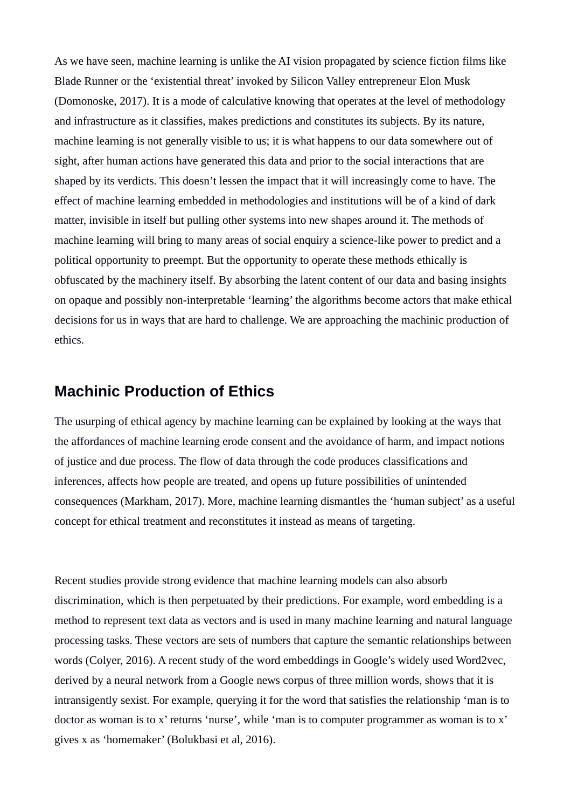As we have seen, machine learning is unlike the AI vision propagated by science fiction films like Blade Runner or the 'existential threat' invoked by Silicon Valley entrepreneur Elon Musk (Domonoske, 2017). It is a mode of calculative knowing that operates at the level of methodology and infrastructure as it classifies, makes predictions and constitutes its subjects. By its nature, machine learning is not generally visible to us; it is what happens to our data somewhere out of sight, after human actions have generated this data and prior to the social interactions that are shaped by its verdicts. This doesn't lessen the impact that it will increasingly come to have. The effect of machine learning embedded in methodologies and institutions will be of a kind of dark matter, invisible in itself but pulling other systems into new shapes around it. The methods of machine learning will bring to many areas of social enquiry a science-like power to predict and a political opportunity to preempt. But the opportunity to operate these methods ethically is obfuscated by the machinery itself. By absorbing the latent content of our data and basing insights on opaque and possibly non-interpretable 'learning' the algorithms become actors that make ethical decisions for us in ways that are hard to challenge. We are approaching the machinic production of ethics.

# **Machinic Production of Ethics**

The usurping of ethical agency by machine learning can be explained by looking at the ways that the affordances of machine learning erode consent and the avoidance of harm, and impact notions of justice and due process. The flow of data through the code produces classifications and inferences, affects how people are treated, and opens up future possibilities of unintended consequences (Markham, 2017). More, machine learning dismantles the 'human subject' as a useful concept for ethical treatment and reconstitutes it instead as means of targeting.

Recent studies provide strong evidence that machine learning models can also absorb discrimination, which is then perpetuated by their predictions. For example, word embedding is a method to represent text data as vectors and is used in many machine learning and natural language processing tasks. These vectors are sets of numbers that capture the semantic relationships between words (Colyer, 2016). A recent study of the word embeddings in Google's widely used Word2vec, derived by a neural network from a Google news corpus of three million words, shows that it is intransigently sexist. For example, querying it for the word that satisfies the relationship 'man is to doctor as woman is to x' returns 'nurse', while 'man is to computer programmer as woman is to x' gives x as 'homemaker' (Bolukbasi et al, 2016).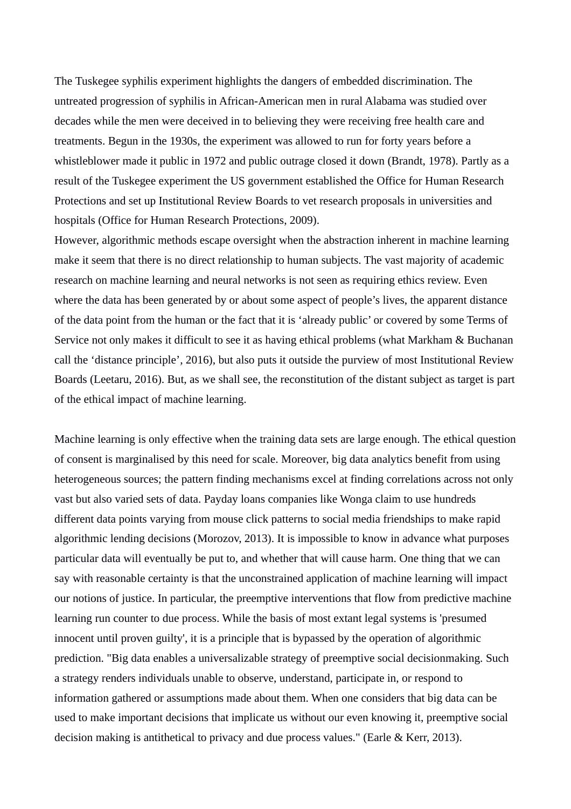The Tuskegee syphilis experiment highlights the dangers of embedded discrimination. The untreated progression of syphilis in African-American men in rural Alabama was studied over decades while the men were deceived in to believing they were receiving free health care and treatments. Begun in the 1930s, the experiment was allowed to run for forty years before a whistleblower made it public in 1972 and public outrage closed it down (Brandt, 1978). Partly as a result of the Tuskegee experiment the US government established the Office for Human Research Protections and set up Institutional Review Boards to vet research proposals in universities and hospitals (Office for Human Research Protections, 2009).

However, algorithmic methods escape oversight when the abstraction inherent in machine learning make it seem that there is no direct relationship to human subjects. The vast majority of academic research on machine learning and neural networks is not seen as requiring ethics review. Even where the data has been generated by or about some aspect of people's lives, the apparent distance of the data point from the human or the fact that it is 'already public' or covered by some Terms of Service not only makes it difficult to see it as having ethical problems (what Markham & Buchanan call the 'distance principle', 2016), but also puts it outside the purview of most Institutional Review Boards (Leetaru, 2016). But, as we shall see, the reconstitution of the distant subject as target is part of the ethical impact of machine learning.

Machine learning is only effective when the training data sets are large enough. The ethical question of consent is marginalised by this need for scale. Moreover, big data analytics benefit from using heterogeneous sources; the pattern finding mechanisms excel at finding correlations across not only vast but also varied sets of data. Payday loans companies like Wonga claim to use hundreds different data points varying from mouse click patterns to social media friendships to make rapid algorithmic lending decisions (Morozov, 2013). It is impossible to know in advance what purposes particular data will eventually be put to, and whether that will cause harm. One thing that we can say with reasonable certainty is that the unconstrained application of machine learning will impact our notions of justice. In particular, the preemptive interventions that flow from predictive machine learning run counter to due process. While the basis of most extant legal systems is 'presumed innocent until proven guilty', it is a principle that is bypassed by the operation of algorithmic prediction. "Big data enables a universalizable strategy of preemptive social decisionmaking. Such a strategy renders individuals unable to observe, understand, participate in, or respond to information gathered or assumptions made about them. When one considers that big data can be used to make important decisions that implicate us without our even knowing it, preemptive social decision making is antithetical to privacy and due process values." (Earle & Kerr, 2013).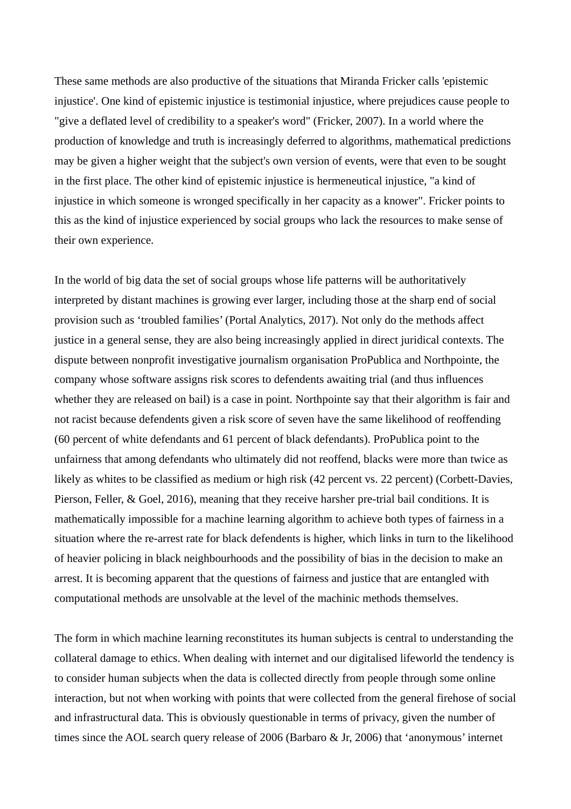These same methods are also productive of the situations that Miranda Fricker calls 'epistemic injustice'. One kind of epistemic injustice is testimonial injustice, where prejudices cause people to "give a deflated level of credibility to a speaker's word" (Fricker, 2007). In a world where the production of knowledge and truth is increasingly deferred to algorithms, mathematical predictions may be given a higher weight that the subject's own version of events, were that even to be sought in the first place. The other kind of epistemic injustice is hermeneutical injustice, "a kind of injustice in which someone is wronged specifically in her capacity as a knower". Fricker points to this as the kind of injustice experienced by social groups who lack the resources to make sense of their own experience.

In the world of big data the set of social groups whose life patterns will be authoritatively interpreted by distant machines is growing ever larger, including those at the sharp end of social provision such as 'troubled families' (Portal Analytics, 2017). Not only do the methods affect justice in a general sense, they are also being increasingly applied in direct juridical contexts. The dispute between nonprofit investigative journalism organisation ProPublica and Northpointe, the company whose software assigns risk scores to defendents awaiting trial (and thus influences whether they are released on bail) is a case in point. Northpointe say that their algorithm is fair and not racist because defendents given a risk score of seven have the same likelihood of reoffending (60 percent of white defendants and 61 percent of black defendants). ProPublica point to the unfairness that among defendants who ultimately did not reoffend, blacks were more than twice as likely as whites to be classified as medium or high risk (42 percent vs. 22 percent) (Corbett-Davies, Pierson, Feller, & Goel, 2016), meaning that they receive harsher pre-trial bail conditions. It is mathematically impossible for a machine learning algorithm to achieve both types of fairness in a situation where the re-arrest rate for black defendents is higher, which links in turn to the likelihood of heavier policing in black neighbourhoods and the possibility of bias in the decision to make an arrest. It is becoming apparent that the questions of fairness and justice that are entangled with computational methods are unsolvable at the level of the machinic methods themselves.

The form in which machine learning reconstitutes its human subjects is central to understanding the collateral damage to ethics. When dealing with internet and our digitalised lifeworld the tendency is to consider human subjects when the data is collected directly from people through some online interaction, but not when working with points that were collected from the general firehose of social and infrastructural data. This is obviously questionable in terms of privacy, given the number of times since the AOL search query release of 2006 (Barbaro & Jr, 2006) that 'anonymous' internet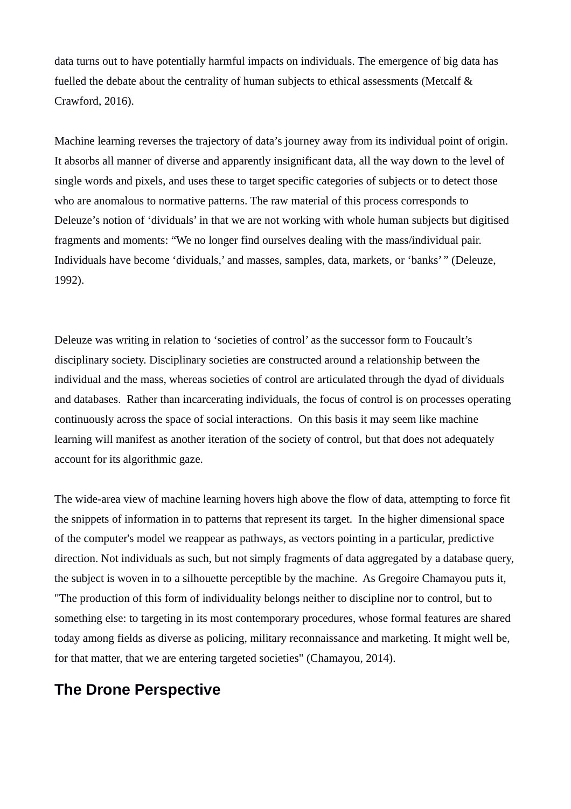data turns out to have potentially harmful impacts on individuals. The emergence of big data has fuelled the debate about the centrality of human subjects to ethical assessments (Metcalf & Crawford, 2016).

Machine learning reverses the trajectory of data's journey away from its individual point of origin. It absorbs all manner of diverse and apparently insignificant data, all the way down to the level of single words and pixels, and uses these to target specific categories of subjects or to detect those who are anomalous to normative patterns. The raw material of this process corresponds to Deleuze's notion of 'dividuals' in that we are not working with whole human subjects but digitised fragments and moments: "We no longer find ourselves dealing with the mass/individual pair. Individuals have become 'dividuals,' and masses, samples, data, markets, or 'banks'*"* (Deleuze, 1992).

Deleuze was writing in relation to 'societies of control' as the successor form to Foucault's disciplinary society. Disciplinary societies are constructed around a relationship between the individual and the mass, whereas societies of control are articulated through the dyad of dividuals and databases. Rather than incarcerating individuals, the focus of control is on processes operating continuously across the space of social interactions. On this basis it may seem like machine learning will manifest as another iteration of the society of control, but that does not adequately account for its algorithmic gaze.

The wide-area view of machine learning hovers high above the flow of data, attempting to force fit the snippets of information in to patterns that represent its target. In the higher dimensional space of the computer's model we reappear as pathways, as vectors pointing in a particular, predictive direction. Not individuals as such, but not simply fragments of data aggregated by a database query, the subject is woven in to a silhouette perceptible by the machine. As Gregoire Chamayou puts it, "The production of this form of individuality belongs neither to discipline nor to control, but to something else: to targeting in its most contemporary procedures, whose formal features are shared today among fields as diverse as policing, military reconnaissance and marketing. It might well be, for that matter, that we are entering targeted societies" (Chamayou, 2014).

# **The Drone Perspective**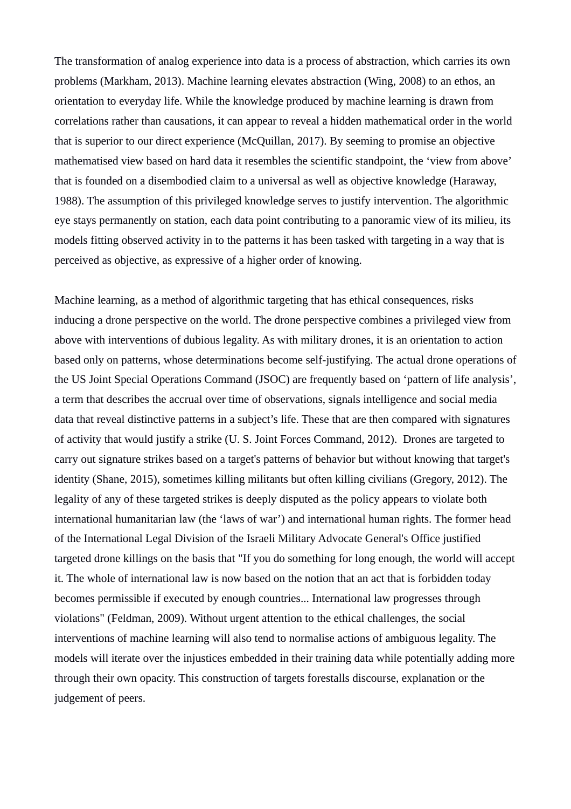The transformation of analog experience into data is a process of abstraction, which carries its own problems (Markham, 2013). Machine learning elevates abstraction (Wing, 2008) to an ethos, an orientation to everyday life. While the knowledge produced by machine learning is drawn from correlations rather than causations, it can appear to reveal a hidden mathematical order in the world that is superior to our direct experience (McQuillan, 2017). By seeming to promise an objective mathematised view based on hard data it resembles the scientific standpoint, the 'view from above' that is founded on a disembodied claim to a universal as well as objective knowledge (Haraway, 1988). The assumption of this privileged knowledge serves to justify intervention. The algorithmic eye stays permanently on station, each data point contributing to a panoramic view of its milieu, its models fitting observed activity in to the patterns it has been tasked with targeting in a way that is perceived as objective, as expressive of a higher order of knowing.

Machine learning, as a method of algorithmic targeting that has ethical consequences, risks inducing a drone perspective on the world. The drone perspective combines a privileged view from above with interventions of dubious legality. As with military drones, it is an orientation to action based only on patterns, whose determinations become self-justifying. The actual drone operations of the US Joint Special Operations Command (JSOC) are frequently based on 'pattern of life analysis', a term that describes the accrual over time of observations, signals intelligence and social media data that reveal distinctive patterns in a subject's life. These that are then compared with signatures of activity that would justify a strike (U. S. Joint Forces Command, 2012). Drones are targeted to carry out signature strikes based on a target's patterns of behavior but without knowing that target's identity (Shane, 2015), sometimes killing militants but often killing civilians (Gregory, 2012). The legality of any of these targeted strikes is deeply disputed as the policy appears to violate both international humanitarian law (the 'laws of war') and international human rights. The former head of the International Legal Division of the Israeli Military Advocate General's Office justified targeted drone killings on the basis that "If you do something for long enough, the world will accept it. The whole of international law is now based on the notion that an act that is forbidden today becomes permissible if executed by enough countries... International law progresses through violations" (Feldman, 2009). Without urgent attention to the ethical challenges, the social interventions of machine learning will also tend to normalise actions of ambiguous legality. The models will iterate over the injustices embedded in their training data while potentially adding more through their own opacity. This construction of targets forestalls discourse, explanation or the judgement of peers.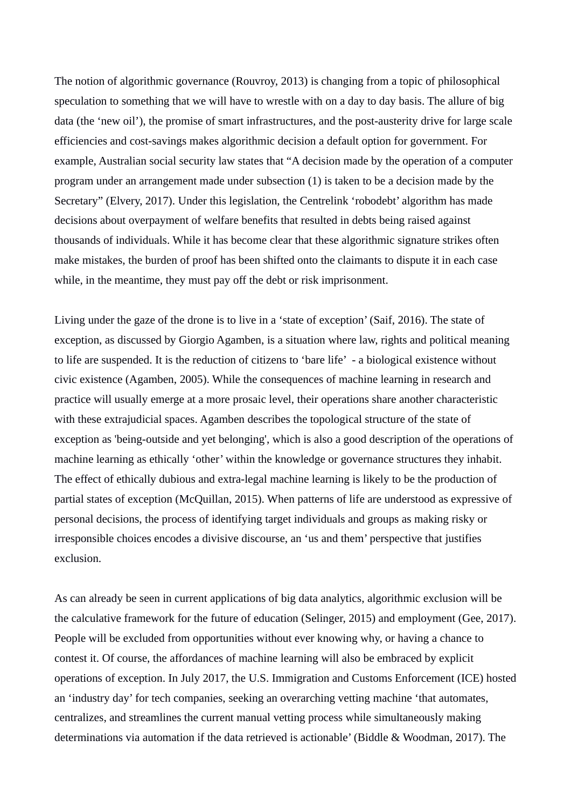The notion of algorithmic governance (Rouvroy, 2013) is changing from a topic of philosophical speculation to something that we will have to wrestle with on a day to day basis. The allure of big data (the 'new oil'), the promise of smart infrastructures, and the post-austerity drive for large scale efficiencies and cost-savings makes algorithmic decision a default option for government. For example, Australian social security law states that "A decision made by the operation of a computer program under an arrangement made under subsection (1) is taken to be a decision made by the Secretary" (Elvery, 2017). Under this legislation, the Centrelink 'robodebt' algorithm has made decisions about overpayment of welfare benefits that resulted in debts being raised against thousands of individuals. While it has become clear that these algorithmic signature strikes often make mistakes, the burden of proof has been shifted onto the claimants to dispute it in each case while, in the meantime, they must pay off the debt or risk imprisonment.

Living under the gaze of the drone is to live in a 'state of exception' (Saif, 2016). The state of exception, as discussed by Giorgio Agamben, is a situation where law, rights and political meaning to life are suspended. It is the reduction of citizens to 'bare life' - a biological existence without civic existence (Agamben, 2005). While the consequences of machine learning in research and practice will usually emerge at a more prosaic level, their operations share another characteristic with these extrajudicial spaces. Agamben describes the topological structure of the state of exception as 'being-outside and yet belonging', which is also a good description of the operations of machine learning as ethically 'other' within the knowledge or governance structures they inhabit. The effect of ethically dubious and extra-legal machine learning is likely to be the production of partial states of exception (McQuillan, 2015). When patterns of life are understood as expressive of personal decisions, the process of identifying target individuals and groups as making risky or irresponsible choices encodes a divisive discourse, an 'us and them' perspective that justifies exclusion.

As can already be seen in current applications of big data analytics, algorithmic exclusion will be the calculative framework for the future of education (Selinger, 2015) and employment (Gee, 2017). People will be excluded from opportunities without ever knowing why, or having a chance to contest it. Of course, the affordances of machine learning will also be embraced by explicit operations of exception. In July 2017, the U.S. Immigration and Customs Enforcement (ICE) hosted an 'industry day' for tech companies, seeking an overarching vetting machine 'that automates, centralizes, and streamlines the current manual vetting process while simultaneously making determinations via automation if the data retrieved is actionable' (Biddle & Woodman, 2017). The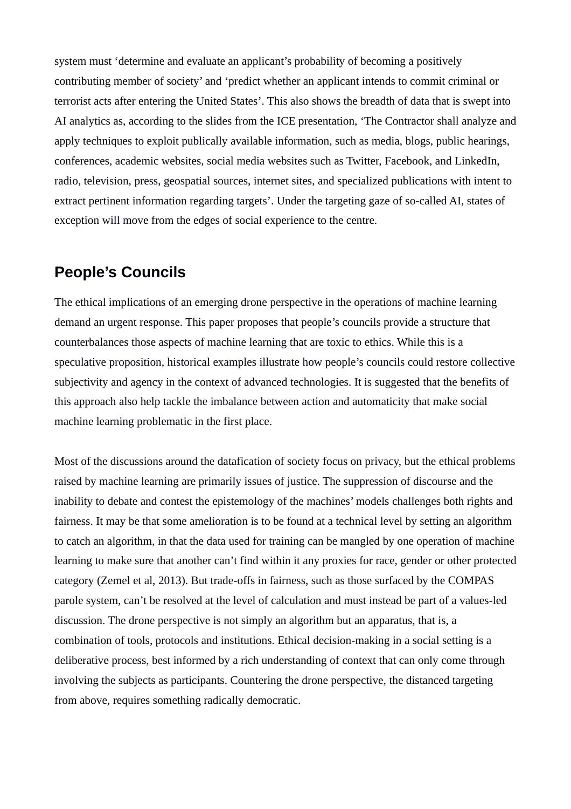system must 'determine and evaluate an applicant's probability of becoming a positively contributing member of society' and 'predict whether an applicant intends to commit criminal or terrorist acts after entering the United States'. This also shows the breadth of data that is swept into AI analytics as, according to the slides from the ICE presentation, 'The Contractor shall analyze and apply techniques to exploit publically available information, such as media, blogs, public hearings, conferences, academic websites, social media websites such as Twitter, Facebook, and LinkedIn, radio, television, press, geospatial sources, internet sites, and specialized publications with intent to extract pertinent information regarding targets'. Under the targeting gaze of so-called AI, states of exception will move from the edges of social experience to the centre.

## **People's Councils**

The ethical implications of an emerging drone perspective in the operations of machine learning demand an urgent response. This paper proposes that people's councils provide a structure that counterbalances those aspects of machine learning that are toxic to ethics. While this is a speculative proposition, historical examples illustrate how people's councils could restore collective subjectivity and agency in the context of advanced technologies. It is suggested that the benefits of this approach also help tackle the imbalance between action and automaticity that make social machine learning problematic in the first place.

Most of the discussions around the datafication of society focus on privacy, but the ethical problems raised by machine learning are primarily issues of justice. The suppression of discourse and the inability to debate and contest the epistemology of the machines' models challenges both rights and fairness. It may be that some amelioration is to be found at a technical level by setting an algorithm to catch an algorithm, in that the data used for training can be mangled by one operation of machine learning to make sure that another can't find within it any proxies for race, gender or other protected category (Zemel et al, 2013). But trade-offs in fairness, such as those surfaced by the COMPAS parole system, can't be resolved at the level of calculation and must instead be part of a values-led discussion. The drone perspective is not simply an algorithm but an apparatus, that is, a combination of tools, protocols and institutions. Ethical decision-making in a social setting is a deliberative process, best informed by a rich understanding of context that can only come through involving the subjects as participants. Countering the drone perspective, the distanced targeting from above, requires something radically democratic.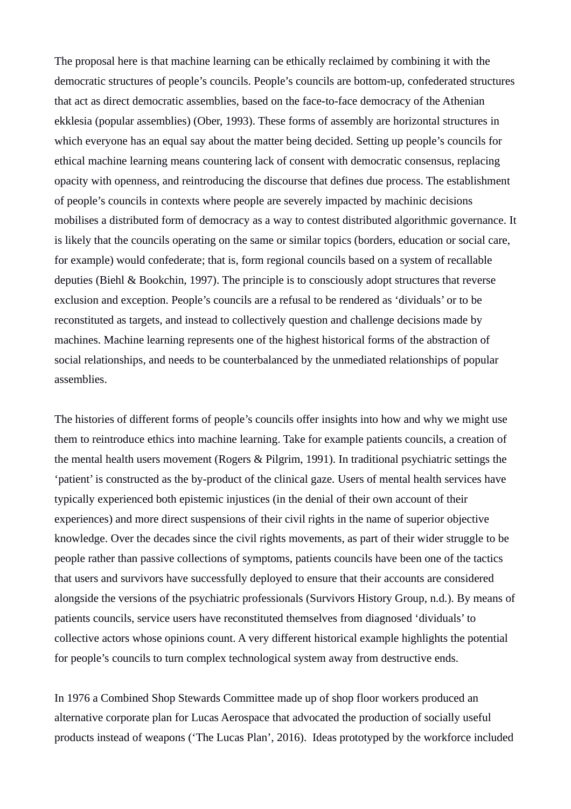The proposal here is that machine learning can be ethically reclaimed by combining it with the democratic structures of people's councils. People's councils are bottom-up, confederated structures that act as direct democratic assemblies, based on the face-to-face democracy of the Athenian ekklesia (popular assemblies) (Ober, 1993). These forms of assembly are horizontal structures in which everyone has an equal say about the matter being decided. Setting up people's councils for ethical machine learning means countering lack of consent with democratic consensus, replacing opacity with openness, and reintroducing the discourse that defines due process. The establishment of people's councils in contexts where people are severely impacted by machinic decisions mobilises a distributed form of democracy as a way to contest distributed algorithmic governance. It is likely that the councils operating on the same or similar topics (borders, education or social care, for example) would confederate; that is, form regional councils based on a system of recallable deputies (Biehl & Bookchin, 1997). The principle is to consciously adopt structures that reverse exclusion and exception. People's councils are a refusal to be rendered as 'dividuals' or to be reconstituted as targets, and instead to collectively question and challenge decisions made by machines. Machine learning represents one of the highest historical forms of the abstraction of social relationships, and needs to be counterbalanced by the unmediated relationships of popular assemblies.

The histories of different forms of people's councils offer insights into how and why we might use them to reintroduce ethics into machine learning. Take for example patients councils, a creation of the mental health users movement (Rogers & Pilgrim, 1991). In traditional psychiatric settings the 'patient' is constructed as the by-product of the clinical gaze. Users of mental health services have typically experienced both epistemic injustices (in the denial of their own account of their experiences) and more direct suspensions of their civil rights in the name of superior objective knowledge. Over the decades since the civil rights movements, as part of their wider struggle to be people rather than passive collections of symptoms, patients councils have been one of the tactics that users and survivors have successfully deployed to ensure that their accounts are considered alongside the versions of the psychiatric professionals (Survivors History Group, n.d.). By means of patients councils, service users have reconstituted themselves from diagnosed 'dividuals' to collective actors whose opinions count. A very different historical example highlights the potential for people's councils to turn complex technological system away from destructive ends.

In 1976 a Combined Shop Stewards Committee made up of shop floor workers produced an alternative corporate plan for Lucas Aerospace that advocated the production of socially useful products instead of weapons ('The Lucas Plan', 2016). Ideas prototyped by the workforce included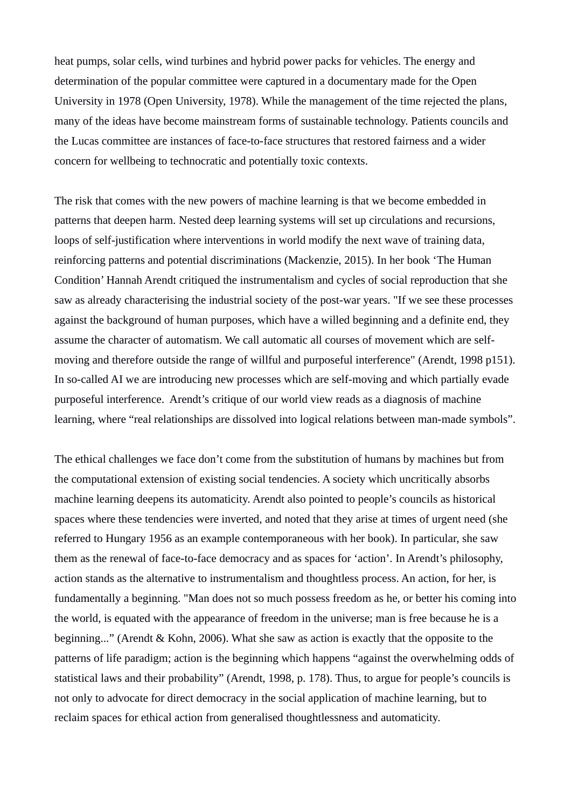heat pumps, solar cells, wind turbines and hybrid power packs for vehicles. The energy and determination of the popular committee were captured in a documentary made for the Open University in 1978 (Open University, 1978). While the management of the time rejected the plans, many of the ideas have become mainstream forms of sustainable technology. Patients councils and the Lucas committee are instances of face-to-face structures that restored fairness and a wider concern for wellbeing to technocratic and potentially toxic contexts.

The risk that comes with the new powers of machine learning is that we become embedded in patterns that deepen harm. Nested deep learning systems will set up circulations and recursions, loops of self-justification where interventions in world modify the next wave of training data, reinforcing patterns and potential discriminations (Mackenzie, 2015). In her book 'The Human Condition' Hannah Arendt critiqued the instrumentalism and cycles of social reproduction that she saw as already characterising the industrial society of the post-war years. "If we see these processes against the background of human purposes, which have a willed beginning and a definite end, they assume the character of automatism. We call automatic all courses of movement which are selfmoving and therefore outside the range of willful and purposeful interference" (Arendt, 1998 p151). In so-called AI we are introducing new processes which are self-moving and which partially evade purposeful interference. Arendt's critique of our world view reads as a diagnosis of machine learning, where "real relationships are dissolved into logical relations between man-made symbols".

The ethical challenges we face don't come from the substitution of humans by machines but from the computational extension of existing social tendencies. A society which uncritically absorbs machine learning deepens its automaticity. Arendt also pointed to people's councils as historical spaces where these tendencies were inverted, and noted that they arise at times of urgent need (she referred to Hungary 1956 as an example contemporaneous with her book). In particular, she saw them as the renewal of face-to-face democracy and as spaces for 'action'. In Arendt's philosophy, action stands as the alternative to instrumentalism and thoughtless process. An action, for her, is fundamentally a beginning. "Man does not so much possess freedom as he, or better his coming into the world, is equated with the appearance of freedom in the universe; man is free because he is a beginning..." (Arendt & Kohn, 2006). What she saw as action is exactly that the opposite to the patterns of life paradigm; action is the beginning which happens "against the overwhelming odds of statistical laws and their probability" (Arendt, 1998, p. 178). Thus, to argue for people's councils is not only to advocate for direct democracy in the social application of machine learning, but to reclaim spaces for ethical action from generalised thoughtlessness and automaticity.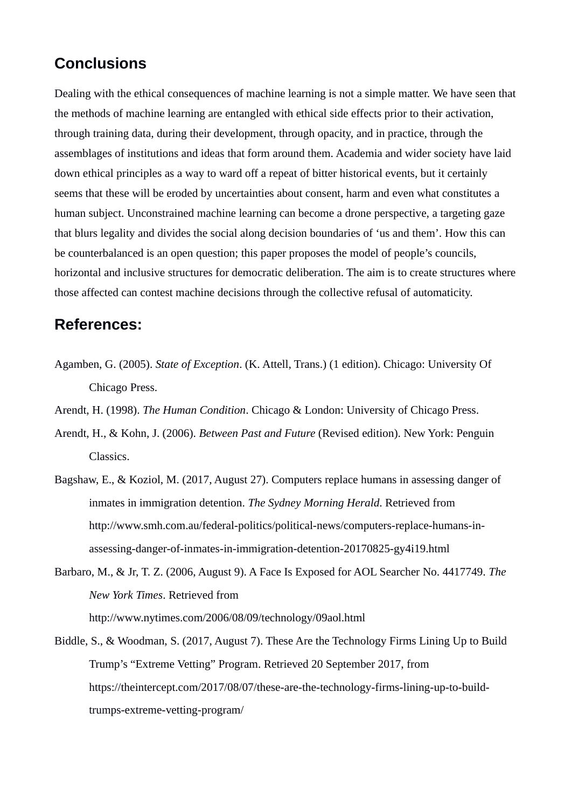# **Conclusions**

Dealing with the ethical consequences of machine learning is not a simple matter. We have seen that the methods of machine learning are entangled with ethical side effects prior to their activation, through training data, during their development, through opacity, and in practice, through the assemblages of institutions and ideas that form around them. Academia and wider society have laid down ethical principles as a way to ward off a repeat of bitter historical events, but it certainly seems that these will be eroded by uncertainties about consent, harm and even what constitutes a human subject. Unconstrained machine learning can become a drone perspective, a targeting gaze that blurs legality and divides the social along decision boundaries of 'us and them'. How this can be counterbalanced is an open question; this paper proposes the model of people's councils, horizontal and inclusive structures for democratic deliberation. The aim is to create structures where those affected can contest machine decisions through the collective refusal of automaticity.

#### **References:**

- Agamben, G. (2005). *State of Exception*. (K. Attell, Trans.) (1 edition). Chicago: University Of Chicago Press.
- Arendt, H. (1998). *The Human Condition*. Chicago & London: University of Chicago Press.
- Arendt, H., & Kohn, J. (2006). *Between Past and Future* (Revised edition). New York: Penguin Classics.
- Bagshaw, E., & Koziol, M. (2017, August 27). Computers replace humans in assessing danger of inmates in immigration detention. *The Sydney Morning Herald*. Retrieved from http://www.smh.com.au/federal-politics/political-news/computers-replace-humans-inassessing-danger-of-inmates-in-immigration-detention-20170825-gy4i19.html
- Barbaro, M., & Jr, T. Z. (2006, August 9). A Face Is Exposed for AOL Searcher No. 4417749. *The New York Times*. Retrieved from http://www.nytimes.com/2006/08/09/technology/09aol.html

Biddle, S., & Woodman, S. (2017, August 7). These Are the Technology Firms Lining Up to Build Trump's "Extreme Vetting" Program. Retrieved 20 September 2017, from https://theintercept.com/2017/08/07/these-are-the-technology-firms-lining-up-to-buildtrumps-extreme-vetting-program/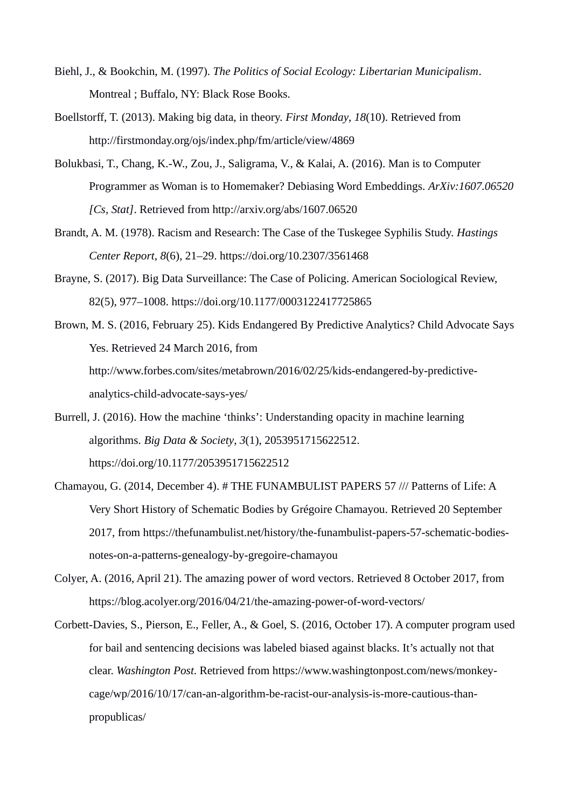- Biehl, J., & Bookchin, M. (1997). *The Politics of Social Ecology: Libertarian Municipalism*. Montreal ; Buffalo, NY: Black Rose Books.
- Boellstorff, T. (2013). Making big data, in theory. *First Monday*, *18*(10). Retrieved from http://firstmonday.org/ojs/index.php/fm/article/view/4869
- Bolukbasi, T., Chang, K.-W., Zou, J., Saligrama, V., & Kalai, A. (2016). Man is to Computer Programmer as Woman is to Homemaker? Debiasing Word Embeddings. *ArXiv:1607.06520 [Cs, Stat]*. Retrieved from http://arxiv.org/abs/1607.06520
- Brandt, A. M. (1978). Racism and Research: The Case of the Tuskegee Syphilis Study. *Hastings Center Report*, *8*(6), 21–29. https://doi.org/10.2307/3561468
- Brayne, S. (2017). Big Data Surveillance: The Case of Policing. American Sociological Review, 82(5), 977–1008. https://doi.org/10.1177/0003122417725865
- Brown, M. S. (2016, February 25). Kids Endangered By Predictive Analytics? Child Advocate Says Yes. Retrieved 24 March 2016, from http://www.forbes.com/sites/metabrown/2016/02/25/kids-endangered-by-predictiveanalytics-child-advocate-says-yes/
- Burrell, J. (2016). How the machine 'thinks': Understanding opacity in machine learning algorithms. *Big Data & Society*, *3*(1), 2053951715622512. https://doi.org/10.1177/2053951715622512
- Chamayou, G. (2014, December 4). # THE FUNAMBULIST PAPERS 57 /// Patterns of Life: A Very Short History of Schematic Bodies by Grégoire Chamayou. Retrieved 20 September 2017, from https://thefunambulist.net/history/the-funambulist-papers-57-schematic-bodiesnotes-on-a-patterns-genealogy-by-gregoire-chamayou
- Colyer, A. (2016, April 21). The amazing power of word vectors. Retrieved 8 October 2017, from https://blog.acolyer.org/2016/04/21/the-amazing-power-of-word-vectors/
- Corbett-Davies, S., Pierson, E., Feller, A., & Goel, S. (2016, October 17). A computer program used for bail and sentencing decisions was labeled biased against blacks. It's actually not that clear. *Washington Post*. Retrieved from https://www.washingtonpost.com/news/monkeycage/wp/2016/10/17/can-an-algorithm-be-racist-our-analysis-is-more-cautious-thanpropublicas/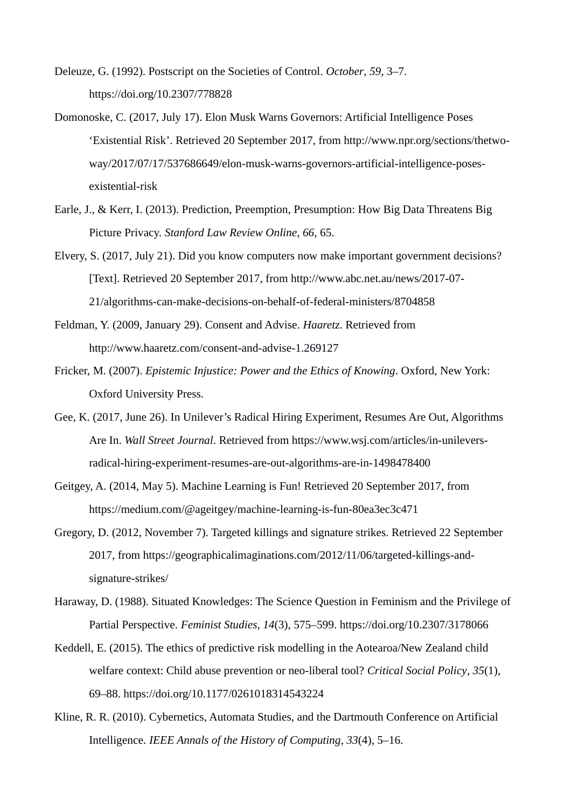- Deleuze, G. (1992). Postscript on the Societies of Control. *October*, *59*, 3–7. https://doi.org/10.2307/778828
- Domonoske, C. (2017, July 17). Elon Musk Warns Governors: Artificial Intelligence Poses 'Existential Risk'. Retrieved 20 September 2017, from http://www.npr.org/sections/thetwoway/2017/07/17/537686649/elon-musk-warns-governors-artificial-intelligence-posesexistential-risk
- Earle, J., & Kerr, I. (2013). Prediction, Preemption, Presumption: How Big Data Threatens Big Picture Privacy. *Stanford Law Review Online*, *66*, 65.
- Elvery, S. (2017, July 21). Did you know computers now make important government decisions? [Text]. Retrieved 20 September 2017, from http://www.abc.net.au/news/2017-07- 21/algorithms-can-make-decisions-on-behalf-of-federal-ministers/8704858
- Feldman, Y. (2009, January 29). Consent and Advise. *Haaretz*. Retrieved from http://www.haaretz.com/consent-and-advise-1.269127
- Fricker, M. (2007). *Epistemic Injustice: Power and the Ethics of Knowing*. Oxford, New York: Oxford University Press.
- Gee, K. (2017, June 26). In Unilever's Radical Hiring Experiment, Resumes Are Out, Algorithms Are In. *Wall Street Journal*. Retrieved from https://www.wsj.com/articles/in-unileversradical-hiring-experiment-resumes-are-out-algorithms-are-in-1498478400
- Geitgey, A. (2014, May 5). Machine Learning is Fun! Retrieved 20 September 2017, from https://medium.com/@ageitgey/machine-learning-is-fun-80ea3ec3c471
- Gregory, D. (2012, November 7). Targeted killings and signature strikes. Retrieved 22 September 2017, from https://geographicalimaginations.com/2012/11/06/targeted-killings-andsignature-strikes/
- Haraway, D. (1988). Situated Knowledges: The Science Question in Feminism and the Privilege of Partial Perspective. *Feminist Studies*, *14*(3), 575–599. https://doi.org/10.2307/3178066
- Keddell, E. (2015). The ethics of predictive risk modelling in the Aotearoa/New Zealand child welfare context: Child abuse prevention or neo-liberal tool? *Critical Social Policy*, *35*(1), 69–88. https://doi.org/10.1177/0261018314543224
- Kline, R. R. (2010). Cybernetics, Automata Studies, and the Dartmouth Conference on Artificial Intelligence. *IEEE Annals of the History of Computing*, *33*(4), 5–16.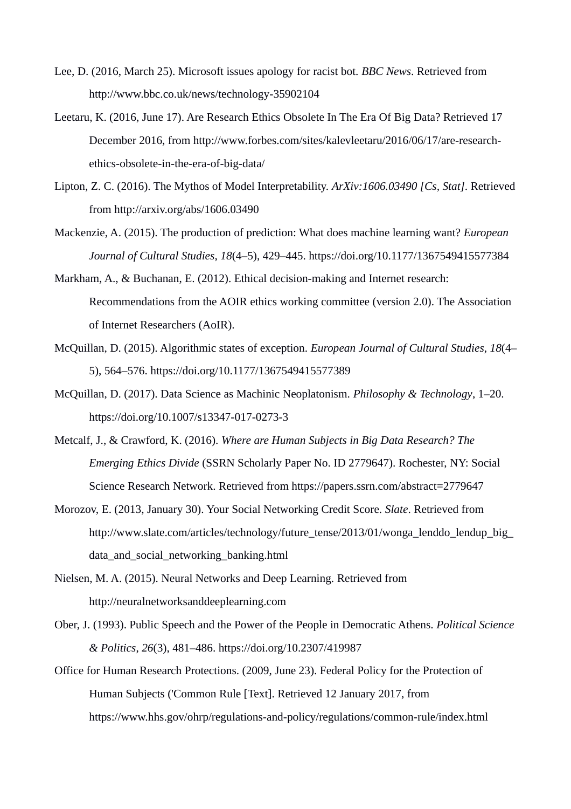- Lee, D. (2016, March 25). Microsoft issues apology for racist bot. *BBC News*. Retrieved from http://www.bbc.co.uk/news/technology-35902104
- Leetaru, K. (2016, June 17). Are Research Ethics Obsolete In The Era Of Big Data? Retrieved 17 December 2016, from http://www.forbes.com/sites/kalevleetaru/2016/06/17/are-researchethics-obsolete-in-the-era-of-big-data/
- Lipton, Z. C. (2016). The Mythos of Model Interpretability. *ArXiv:1606.03490 [Cs, Stat]*. Retrieved from http://arxiv.org/abs/1606.03490
- Mackenzie, A. (2015). The production of prediction: What does machine learning want? *European Journal of Cultural Studies*, *18*(4–5), 429–445. https://doi.org/10.1177/1367549415577384
- Markham, A., & Buchanan, E. (2012). Ethical decision-making and Internet research: Recommendations from the AOIR ethics working committee (version 2.0). The Association of Internet Researchers (AoIR).
- McQuillan, D. (2015). Algorithmic states of exception. *European Journal of Cultural Studies*, *18*(4– 5), 564–576. https://doi.org/10.1177/1367549415577389
- McQuillan, D. (2017). Data Science as Machinic Neoplatonism. *Philosophy & Technology*, 1–20. https://doi.org/10.1007/s13347-017-0273-3
- Metcalf, J., & Crawford, K. (2016). *Where are Human Subjects in Big Data Research? The Emerging Ethics Divide* (SSRN Scholarly Paper No. ID 2779647). Rochester, NY: Social Science Research Network. Retrieved from https://papers.ssrn.com/abstract=2779647
- Morozov, E. (2013, January 30). Your Social Networking Credit Score. *Slate*. Retrieved from http://www.slate.com/articles/technology/future\_tense/2013/01/wonga\_lenddo\_lendup\_big data\_and\_social\_networking\_banking.html
- Nielsen, M. A. (2015). Neural Networks and Deep Learning. Retrieved from http://neuralnetworksanddeeplearning.com
- Ober, J. (1993). Public Speech and the Power of the People in Democratic Athens. *Political Science & Politics*, *26*(3), 481–486. https://doi.org/10.2307/419987
- Office for Human Research Protections. (2009, June 23). Federal Policy for the Protection of Human Subjects ('Common Rule [Text]. Retrieved 12 January 2017, from https://www.hhs.gov/ohrp/regulations-and-policy/regulations/common-rule/index.html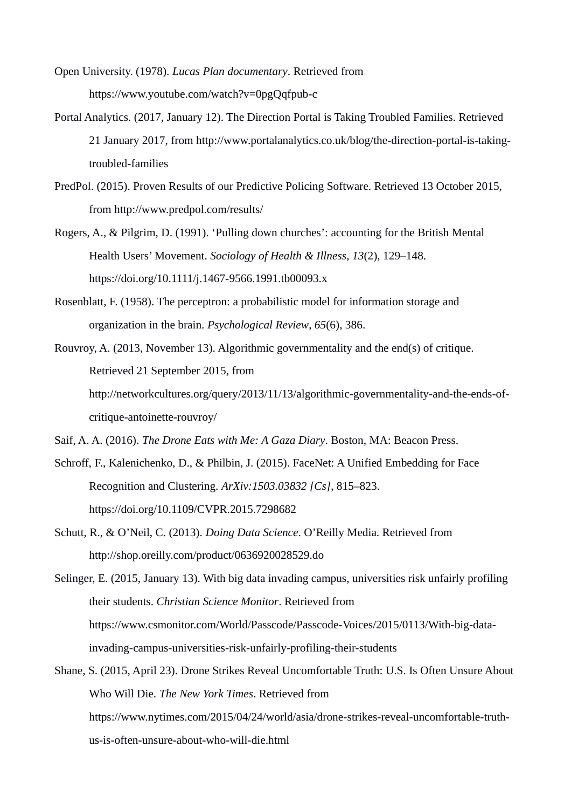Open University. (1978). *Lucas Plan documentary*. Retrieved from https://www.youtube.com/watch?v=0pgQqfpub-c

- Portal Analytics. (2017, January 12). The Direction Portal is Taking Troubled Families. Retrieved 21 January 2017, from http://www.portalanalytics.co.uk/blog/the-direction-portal-is-takingtroubled-families
- PredPol. (2015). Proven Results of our Predictive Policing Software. Retrieved 13 October 2015, from http://www.predpol.com/results/
- Rogers, A., & Pilgrim, D. (1991). 'Pulling down churches': accounting for the British Mental Health Users' Movement. *Sociology of Health & Illness*, *13*(2), 129–148. https://doi.org/10.1111/j.1467-9566.1991.tb00093.x
- Rosenblatt, F. (1958). The perceptron: a probabilistic model for information storage and organization in the brain. *Psychological Review*, *65*(6), 386.
- Rouvroy, A. (2013, November 13). Algorithmic governmentality and the end(s) of critique. Retrieved 21 September 2015, from http://networkcultures.org/query/2013/11/13/algorithmic-governmentality-and-the-ends-ofcritique-antoinette-rouvroy/

Saif, A. A. (2016). *The Drone Eats with Me: A Gaza Diary*. Boston, MA: Beacon Press.

- Schroff, F., Kalenichenko, D., & Philbin, J. (2015). FaceNet: A Unified Embedding for Face Recognition and Clustering. *ArXiv:1503.03832 [Cs]*, 815–823. https://doi.org/10.1109/CVPR.2015.7298682
- Schutt, R., & O'Neil, C. (2013). *Doing Data Science*. O'Reilly Media. Retrieved from http://shop.oreilly.com/product/0636920028529.do

Selinger, E. (2015, January 13). With big data invading campus, universities risk unfairly profiling their students. *Christian Science Monitor*. Retrieved from https://www.csmonitor.com/World/Passcode/Passcode-Voices/2015/0113/With-big-datainvading-campus-universities-risk-unfairly-profiling-their-students

Shane, S. (2015, April 23). Drone Strikes Reveal Uncomfortable Truth: U.S. Is Often Unsure About Who Will Die. *The New York Times*. Retrieved from https://www.nytimes.com/2015/04/24/world/asia/drone-strikes-reveal-uncomfortable-truthus-is-often-unsure-about-who-will-die.html